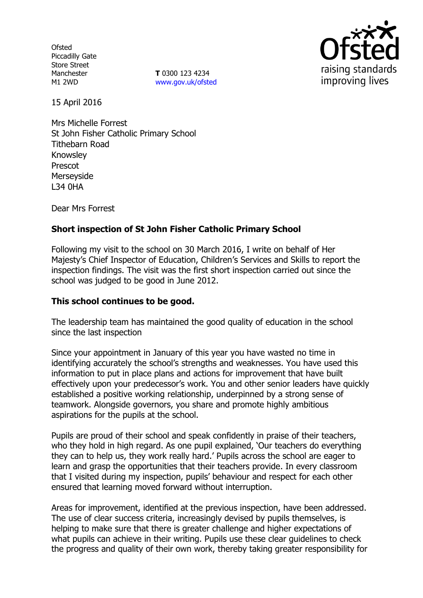**Ofsted** Piccadilly Gate Store Street Manchester M1 2WD

**T** 0300 123 4234 www.gov.uk/ofsted



15 April 2016

Mrs Michelle Forrest St John Fisher Catholic Primary School Tithebarn Road Knowsley Prescot Merseyside L34 0HA

Dear Mrs Forrest

# **Short inspection of St John Fisher Catholic Primary School**

Following my visit to the school on 30 March 2016, I write on behalf of Her Majesty's Chief Inspector of Education, Children's Services and Skills to report the inspection findings. The visit was the first short inspection carried out since the school was judged to be good in June 2012.

#### **This school continues to be good.**

The leadership team has maintained the good quality of education in the school since the last inspection

Since your appointment in January of this year you have wasted no time in identifying accurately the school's strengths and weaknesses. You have used this information to put in place plans and actions for improvement that have built effectively upon your predecessor's work. You and other senior leaders have quickly established a positive working relationship, underpinned by a strong sense of teamwork. Alongside governors, you share and promote highly ambitious aspirations for the pupils at the school.

Pupils are proud of their school and speak confidently in praise of their teachers, who they hold in high regard. As one pupil explained, 'Our teachers do everything they can to help us, they work really hard.' Pupils across the school are eager to learn and grasp the opportunities that their teachers provide. In every classroom that I visited during my inspection, pupils' behaviour and respect for each other ensured that learning moved forward without interruption.

Areas for improvement, identified at the previous inspection, have been addressed. The use of clear success criteria, increasingly devised by pupils themselves, is helping to make sure that there is greater challenge and higher expectations of what pupils can achieve in their writing. Pupils use these clear guidelines to check the progress and quality of their own work, thereby taking greater responsibility for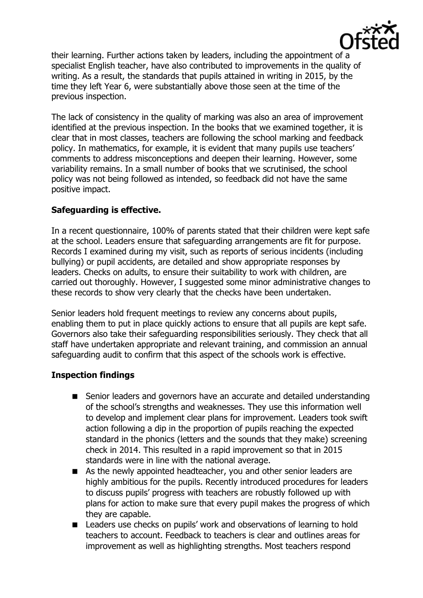

their learning. Further actions taken by leaders, including the appointment of a specialist English teacher, have also contributed to improvements in the quality of writing. As a result, the standards that pupils attained in writing in 2015, by the time they left Year 6, were substantially above those seen at the time of the previous inspection.

The lack of consistency in the quality of marking was also an area of improvement identified at the previous inspection. In the books that we examined together, it is clear that in most classes, teachers are following the school marking and feedback policy. In mathematics, for example, it is evident that many pupils use teachers' comments to address misconceptions and deepen their learning. However, some variability remains. In a small number of books that we scrutinised, the school policy was not being followed as intended, so feedback did not have the same positive impact.

# **Safeguarding is effective.**

In a recent questionnaire, 100% of parents stated that their children were kept safe at the school. Leaders ensure that safeguarding arrangements are fit for purpose. Records I examined during my visit, such as reports of serious incidents (including bullying) or pupil accidents, are detailed and show appropriate responses by leaders. Checks on adults, to ensure their suitability to work with children, are carried out thoroughly. However, I suggested some minor administrative changes to these records to show very clearly that the checks have been undertaken.

Senior leaders hold frequent meetings to review any concerns about pupils, enabling them to put in place quickly actions to ensure that all pupils are kept safe. Governors also take their safeguarding responsibilities seriously. They check that all staff have undertaken appropriate and relevant training, and commission an annual safeguarding audit to confirm that this aspect of the schools work is effective.

# **Inspection findings**

- Senior leaders and governors have an accurate and detailed understanding of the school's strengths and weaknesses. They use this information well to develop and implement clear plans for improvement. Leaders took swift action following a dip in the proportion of pupils reaching the expected standard in the phonics (letters and the sounds that they make) screening check in 2014. This resulted in a rapid improvement so that in 2015 standards were in line with the national average.
- As the newly appointed headteacher, you and other senior leaders are highly ambitious for the pupils. Recently introduced procedures for leaders to discuss pupils' progress with teachers are robustly followed up with plans for action to make sure that every pupil makes the progress of which they are capable.
- Leaders use checks on pupils' work and observations of learning to hold teachers to account. Feedback to teachers is clear and outlines areas for improvement as well as highlighting strengths. Most teachers respond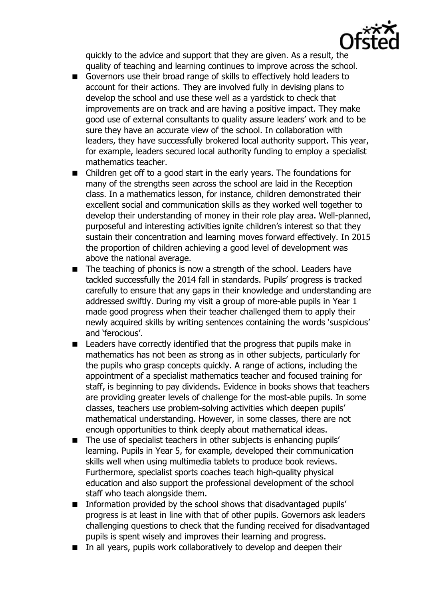

quickly to the advice and support that they are given. As a result, the quality of teaching and learning continues to improve across the school.

- Governors use their broad range of skills to effectively hold leaders to account for their actions. They are involved fully in devising plans to develop the school and use these well as a yardstick to check that improvements are on track and are having a positive impact. They make good use of external consultants to quality assure leaders' work and to be sure they have an accurate view of the school. In collaboration with leaders, they have successfully brokered local authority support. This year, for example, leaders secured local authority funding to employ a specialist mathematics teacher.
- Children get off to a good start in the early years. The foundations for many of the strengths seen across the school are laid in the Reception class. In a mathematics lesson, for instance, children demonstrated their excellent social and communication skills as they worked well together to develop their understanding of money in their role play area. Well-planned, purposeful and interesting activities ignite children's interest so that they sustain their concentration and learning moves forward effectively. In 2015 the proportion of children achieving a good level of development was above the national average.
- The teaching of phonics is now a strength of the school. Leaders have tackled successfully the 2014 fall in standards. Pupils' progress is tracked carefully to ensure that any gaps in their knowledge and understanding are addressed swiftly. During my visit a group of more-able pupils in Year 1 made good progress when their teacher challenged them to apply their newly acquired skills by writing sentences containing the words 'suspicious' and 'ferocious'.
- Leaders have correctly identified that the progress that pupils make in mathematics has not been as strong as in other subjects, particularly for the pupils who grasp concepts quickly. A range of actions, including the appointment of a specialist mathematics teacher and focused training for staff, is beginning to pay dividends. Evidence in books shows that teachers are providing greater levels of challenge for the most-able pupils. In some classes, teachers use problem-solving activities which deepen pupils' mathematical understanding. However, in some classes, there are not enough opportunities to think deeply about mathematical ideas.
- The use of specialist teachers in other subjects is enhancing pupils' learning. Pupils in Year 5, for example, developed their communication skills well when using multimedia tablets to produce book reviews. Furthermore, specialist sports coaches teach high-quality physical education and also support the professional development of the school staff who teach alongside them.
- **Information provided by the school shows that disadvantaged pupils'** progress is at least in line with that of other pupils. Governors ask leaders challenging questions to check that the funding received for disadvantaged pupils is spent wisely and improves their learning and progress.
- In all years, pupils work collaboratively to develop and deepen their